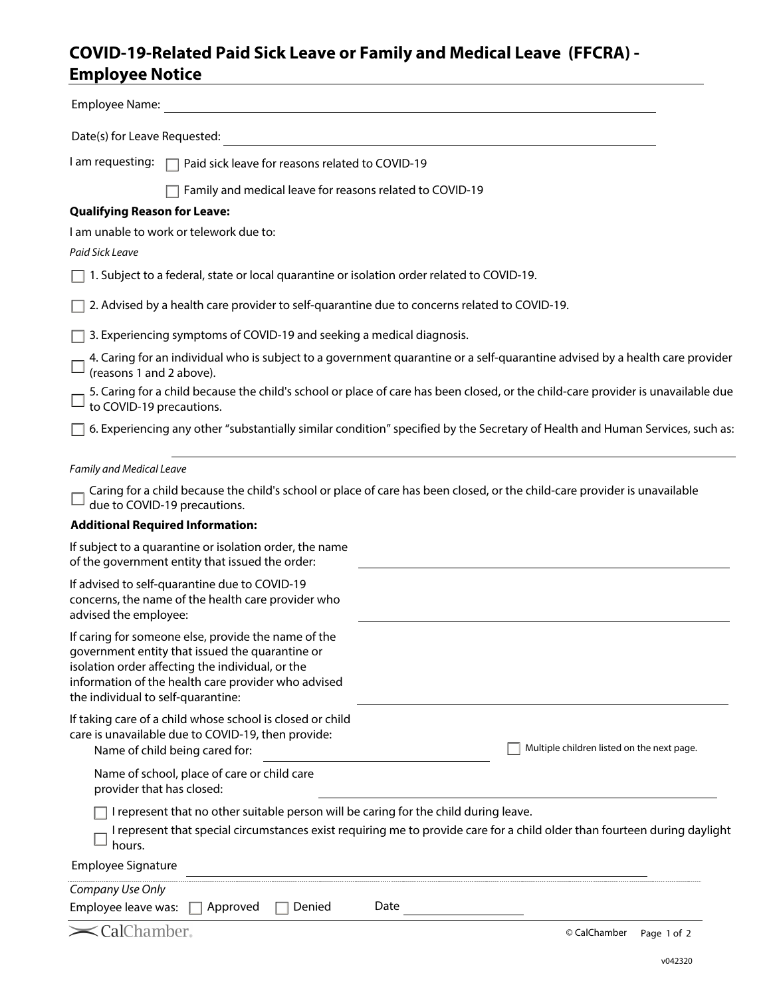## **COVID-19-Related Paid Sick Leave or Family and Medical Leave (FFCRA) - Employee Notice**

| Employee Name:                                                                                                                                                                                                                                          |                                                                                                                                  |
|---------------------------------------------------------------------------------------------------------------------------------------------------------------------------------------------------------------------------------------------------------|----------------------------------------------------------------------------------------------------------------------------------|
| Date(s) for Leave Requested:                                                                                                                                                                                                                            |                                                                                                                                  |
| I am requesting:<br>Paid sick leave for reasons related to COVID-19                                                                                                                                                                                     |                                                                                                                                  |
| Family and medical leave for reasons related to COVID-19                                                                                                                                                                                                |                                                                                                                                  |
| <b>Qualifying Reason for Leave:</b>                                                                                                                                                                                                                     |                                                                                                                                  |
| I am unable to work or telework due to:                                                                                                                                                                                                                 |                                                                                                                                  |
| Paid Sick Leave                                                                                                                                                                                                                                         |                                                                                                                                  |
| 1. Subject to a federal, state or local quarantine or isolation order related to COVID-19.                                                                                                                                                              |                                                                                                                                  |
| 2. Advised by a health care provider to self-quarantine due to concerns related to COVID-19.                                                                                                                                                            |                                                                                                                                  |
| 3. Experiencing symptoms of COVID-19 and seeking a medical diagnosis.                                                                                                                                                                                   |                                                                                                                                  |
| (reasons 1 and 2 above).                                                                                                                                                                                                                                | 4. Caring for an individual who is subject to a government quarantine or a self-quarantine advised by a health care provider     |
| to COVID-19 precautions.                                                                                                                                                                                                                                | 5. Caring for a child because the child's school or place of care has been closed, or the child-care provider is unavailable due |
|                                                                                                                                                                                                                                                         | 6. Experiencing any other "substantially similar condition" specified by the Secretary of Health and Human Services, such as:    |
| Family and Medical Leave                                                                                                                                                                                                                                |                                                                                                                                  |
| due to COVID-19 precautions.                                                                                                                                                                                                                            | Caring for a child because the child's school or place of care has been closed, or the child-care provider is unavailable        |
| <b>Additional Required Information:</b>                                                                                                                                                                                                                 |                                                                                                                                  |
| If subject to a quarantine or isolation order, the name<br>of the government entity that issued the order:                                                                                                                                              |                                                                                                                                  |
| If advised to self-quarantine due to COVID-19<br>concerns, the name of the health care provider who<br>advised the employee:                                                                                                                            |                                                                                                                                  |
| If caring for someone else, provide the name of the<br>government entity that issued the quarantine or<br>isolation order affecting the individual, or the<br>information of the health care provider who advised<br>the individual to self-quarantine: |                                                                                                                                  |
| If taking care of a child whose school is closed or child<br>care is unavailable due to COVID-19, then provide:<br>Name of child being cared for:                                                                                                       | Multiple children listed on the next page.                                                                                       |
| Name of school, place of care or child care<br>provider that has closed:                                                                                                                                                                                |                                                                                                                                  |
| I represent that no other suitable person will be caring for the child during leave.<br>hours.                                                                                                                                                          | I represent that special circumstances exist requiring me to provide care for a child older than fourteen during daylight        |
| <b>Employee Signature</b>                                                                                                                                                                                                                               |                                                                                                                                  |
| Company Use Only                                                                                                                                                                                                                                        |                                                                                                                                  |
| Denied<br>Employee leave was: $\Box$ Approved                                                                                                                                                                                                           | Date                                                                                                                             |
| $\blacktriangleright$ CalChamber,                                                                                                                                                                                                                       | © CalChamber<br>Page 1 of 2                                                                                                      |